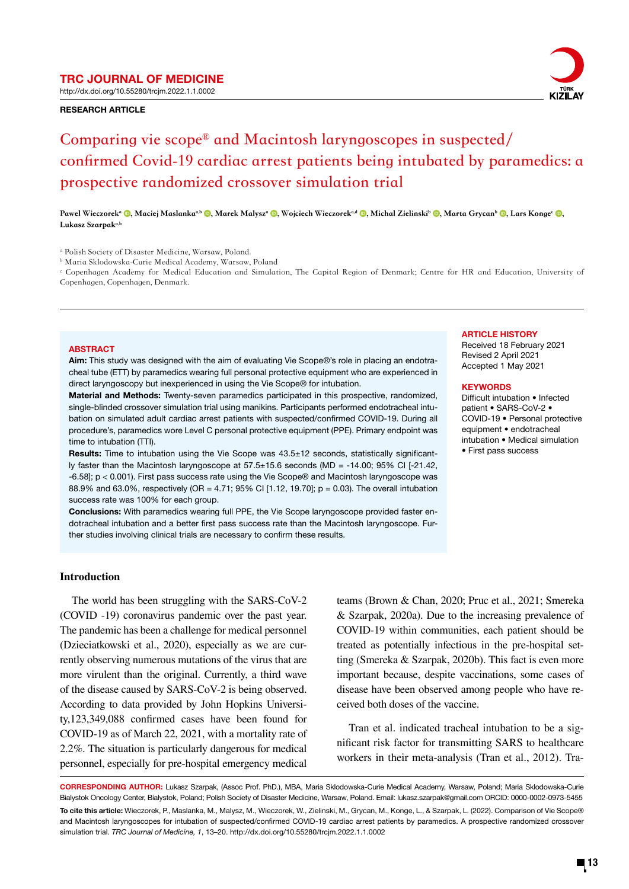TRC JOURNAL OF MEDICINE http://dx.doi.org/10.55280/trcjm.2022.1.1.0002

#### RESEARCH ARTICLE



# **Comparing vie scope® and Macintosh laryngoscopes in suspected/ confirmed Covid-19 cardiac arrest patients being intubated by paramedics: a prospective randomized crossover simulation trial**

Pawel Wieczorek<sup>a</sup> (D, Maciej Maslanka<sup>a,b</sup> (D, Marek Malysz<sup>a</sup> (D, Wojciech Wieczorek<sup>ad</sup> (D, Michal Zielinski<sup>b</sup> (D, Marta Grycan<sup>b</sup> (D, Lars Konge<sup>c</sup> (D, Lukasz Szarpak<sup>a,b</sup>

b Maria Sklodowska-Curie Medical Academy, Warsaw, Poland

c Copenhagen Academy for Medical Education and Simulation, The Capital Region of Denmark; Centre for HR and Education, University of Copenhagen, Copenhagen, Denmark.

#### **ABSTRACT**

Aim: This study was designed with the aim of evaluating Vie Scope®'s role in placing an endotracheal tube (ETT) by paramedics wearing full personal protective equipment who are experienced in direct laryngoscopy but inexperienced in using the Vie Scope® for intubation.

Material and Methods: Twenty-seven paramedics participated in this prospective, randomized, single-blinded crossover simulation trial using manikins. Participants performed endotracheal intubation on simulated adult cardiac arrest patients with suspected/confirmed COVID-19. During all procedure's, paramedics wore Level C personal protective equipment (PPE). Primary endpoint was time to intubation (TTI).

Results: Time to intubation using the Vie Scope was 43.5±12 seconds, statistically significantly faster than the Macintosh laryngoscope at 57.5±15.6 seconds (MD = -14.00; 95% CI [-21.42, -6.58]; p < 0.001). First pass success rate using the Vie Scope® and Macintosh laryngoscope was 88.9% and 63.0%, respectively (OR = 4.71; 95% CI [1.12, 19.70]; p = 0.03). The overall intubation success rate was 100% for each group.

Conclusions: With paramedics wearing full PPE, the Vie Scope laryngoscope provided faster endotracheal intubation and a better first pass success rate than the Macintosh laryngoscope. Further studies involving clinical trials are necessary to confirm these results.

#### ARTICLE HISTORY

Received 18 February 2021 Revised 2 April 2021 Accepted 1 May 2021

#### **KEYWORDS**

Difficult intubation • Infected patient • SARS-CoV-2 • COVID-19 • Personal protective equipment • endotracheal intubation • Medical simulation • First pass success

## **Introduction**

The world has been struggling with the SARS-CoV-2 (COVID -19) coronavirus pandemic over the past year. The pandemic has been a challenge for medical personnel (Dzieciatkowski et al., 2020), especially as we are currently observing numerous mutations of the virus that are more virulent than the original. Currently, a third wave of the disease caused by SARS-CoV-2 is being observed. According to data provided by John Hopkins University,123,349,088 confirmed cases have been found for COVID-19 as of March 22, 2021, with a mortality rate of 2.2%. The situation is particularly dangerous for medical personnel, especially for pre-hospital emergency medical

teams (Brown & Chan, 2020; Pruc et al., 2021; Smereka & Szarpak, 2020a). Due to the increasing prevalence of COVID-19 within communities, each patient should be treated as potentially infectious in the pre-hospital setting (Smereka & Szarpak, 2020b). This fact is even more important because, despite vaccinations, some cases of disease have been observed among people who have received both doses of the vaccine.

Tran et al. indicated tracheal intubation to be a significant risk factor for transmitting SARS to healthcare workers in their meta-analysis (Tran et al., 2012). Tra-

CORRESPONDING AUTHOR: Lukasz Szarpak, (Assoc Prof. PhD.), MBA, Maria Sklodowska-Curie Medical Academy, Warsaw, Poland; Maria Sklodowska-Curie Bialystok Oncology Center, Bialystok, Poland; Polish Society of Disaster Medicine, Warsaw, Poland. Email: lukasz.szarpak@gmail.com ORCID: 0000-0002-0973-5455 To cite this article: Wieczorek, P., Maslanka, M., Malysz, M., Wieczorek, W., Zielinski, M., Grycan, M., Konge, L., & Szarpak, L. (2022). Comparison of Vie Scope® and Macintosh laryngoscopes for intubation of suspected/confirmed COVID-19 cardiac arrest patients by paramedics. A prospective randomized crossover simulation trial. *TRC Journal of Medicine, 1*, 13–20. http://dx.doi.org/10.55280/trcjm.2022.1.1.0002

a Polish Society of Disaster Medicine, Warsaw, Poland.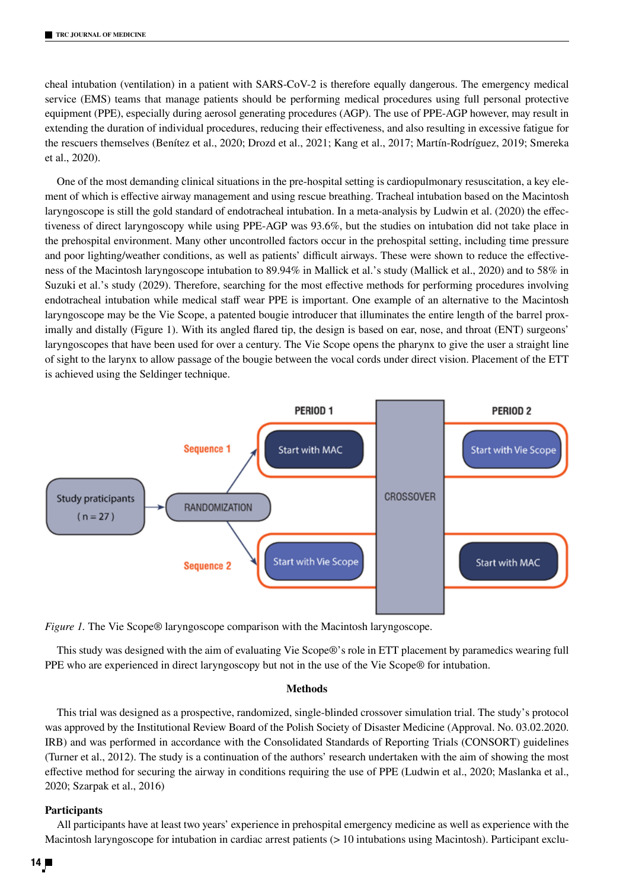cheal intubation (ventilation) in a patient with SARS-CoV-2 is therefore equally dangerous. The emergency medical service (EMS) teams that manage patients should be performing medical procedures using full personal protective equipment (PPE), especially during aerosol generating procedures (AGP). The use of PPE-AGP however, may result in extending the duration of individual procedures, reducing their effectiveness, and also resulting in excessive fatigue for the rescuers themselves (Benítez et al., 2020; Drozd et al., 2021; Kang et al., 2017; Martín-Rodríguez, 2019; Smereka et al., 2020).

One of the most demanding clinical situations in the pre-hospital setting is cardiopulmonary resuscitation, a key element of which is effective airway management and using rescue breathing. Tracheal intubation based on the Macintosh laryngoscope is still the gold standard of endotracheal intubation. In a meta-analysis by Ludwin et al. (2020) the effectiveness of direct laryngoscopy while using PPE-AGP was 93.6%, but the studies on intubation did not take place in the prehospital environment. Many other uncontrolled factors occur in the prehospital setting, including time pressure and poor lighting/weather conditions, as well as patients' difficult airways. These were shown to reduce the effectiveness of the Macintosh laryngoscope intubation to 89.94% in Mallick et al.'s study (Mallick et al., 2020) and to 58% in Suzuki et al.'s study (2029). Therefore, searching for the most effective methods for performing procedures involving endotracheal intubation while medical staff wear PPE is important. One example of an alternative to the Macintosh laryngoscope may be the Vie Scope, a patented bougie introducer that illuminates the entire length of the barrel proximally and distally (Figure 1). With its angled flared tip, the design is based on ear, nose, and throat (ENT) surgeons' laryngoscopes that have been used for over a century. The Vie Scope opens the pharynx to give the user a straight line of sight to the larynx to allow passage of the bougie between the vocal cords under direct vision. Placement of the ETT is achieved using the Seldinger technique.



*Figure 1.* The Vie Scope® laryngoscope comparison with the Macintosh laryngoscope.

This study was designed with the aim of evaluating Vie Scope®'s role in ETT placement by paramedics wearing full PPE who are experienced in direct laryngoscopy but not in the use of the Vie Scope® for intubation.

# **Methods**

This trial was designed as a prospective, randomized, single-blinded crossover simulation trial. The study's protocol was approved by the Institutional Review Board of the Polish Society of Disaster Medicine (Approval. No. 03.02.2020. IRB) and was performed in accordance with the Consolidated Standards of Reporting Trials (CONSORT) guidelines (Turner et al., 2012). The study is a continuation of the authors' research undertaken with the aim of showing the most effective method for securing the airway in conditions requiring the use of PPE (Ludwin et al., 2020; Maslanka et al., 2020; Szarpak et al., 2016)

#### **Participants**

All participants have at least two years' experience in prehospital emergency medicine as well as experience with the Macintosh laryngoscope for intubation in cardiac arrest patients (> 10 intubations using Macintosh). Participant exclu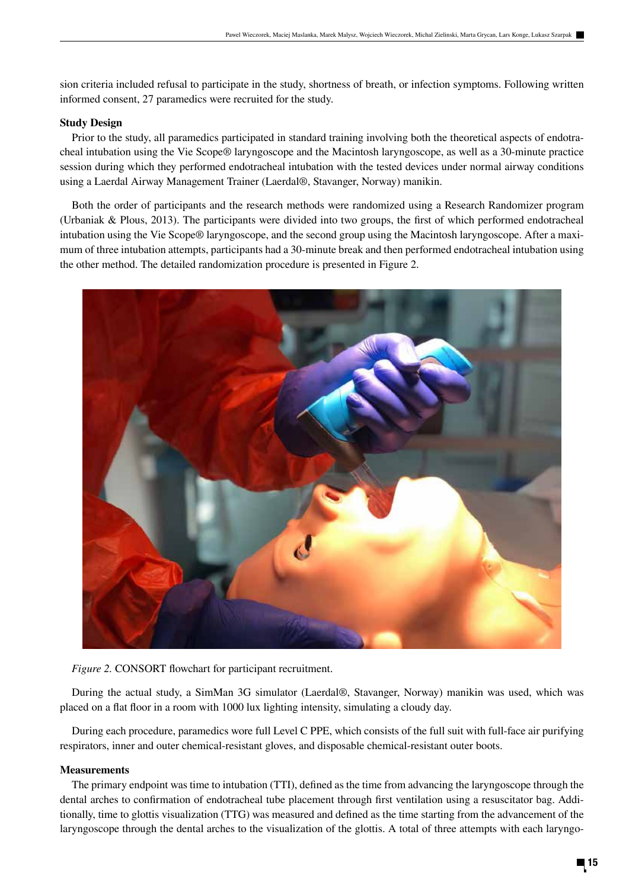sion criteria included refusal to participate in the study, shortness of breath, or infection symptoms. Following written informed consent, 27 paramedics were recruited for the study.

# **Study Design**

Prior to the study, all paramedics participated in standard training involving both the theoretical aspects of endotracheal intubation using the Vie Scope® laryngoscope and the Macintosh laryngoscope, as well as a 30-minute practice session during which they performed endotracheal intubation with the tested devices under normal airway conditions using a Laerdal Airway Management Trainer (Laerdal®, Stavanger, Norway) manikin.

Both the order of participants and the research methods were randomized using a Research Randomizer program (Urbaniak & Plous, 2013). The participants were divided into two groups, the first of which performed endotracheal intubation using the Vie Scope® laryngoscope, and the second group using the Macintosh laryngoscope. After a maximum of three intubation attempts, participants had a 30-minute break and then performed endotracheal intubation using the other method. The detailed randomization procedure is presented in Figure 2.



*Figure 2.* CONSORT flowchart for participant recruitment.

During the actual study, a SimMan 3G simulator (Laerdal®, Stavanger, Norway) manikin was used, which was placed on a flat floor in a room with 1000 lux lighting intensity, simulating a cloudy day.

During each procedure, paramedics wore full Level C PPE, which consists of the full suit with full-face air purifying respirators, inner and outer chemical-resistant gloves, and disposable chemical-resistant outer boots.

# **Measurements**

The primary endpoint was time to intubation (TTI), defined as the time from advancing the laryngoscope through the dental arches to confirmation of endotracheal tube placement through first ventilation using a resuscitator bag. Additionally, time to glottis visualization (TTG) was measured and defined as the time starting from the advancement of the laryngoscope through the dental arches to the visualization of the glottis. A total of three attempts with each laryngo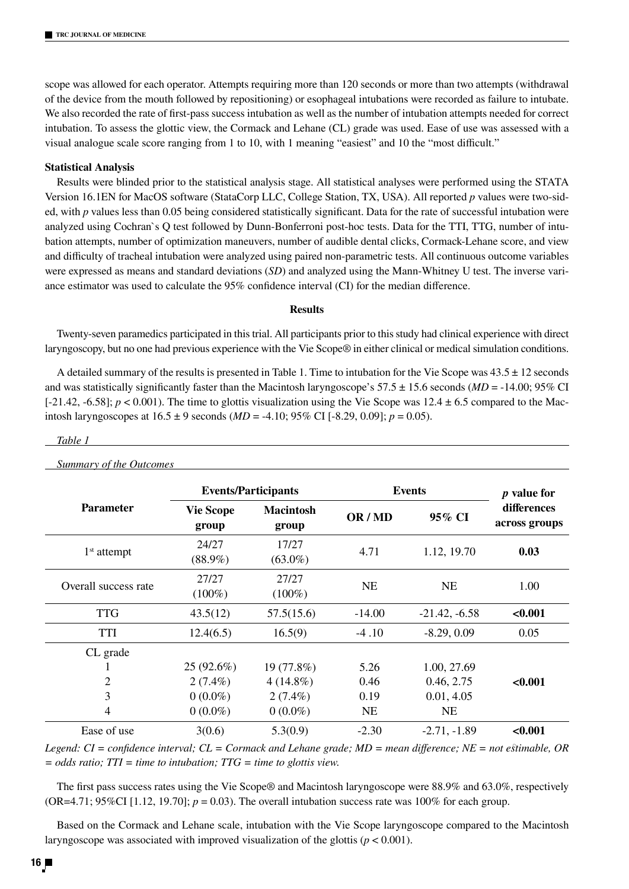scope was allowed for each operator. Attempts requiring more than 120 seconds or more than two attempts (withdrawal of the device from the mouth followed by repositioning) or esophageal intubations were recorded as failure to intubate. We also recorded the rate of first-pass success intubation as well as the number of intubation attempts needed for correct intubation. To assess the glottic view, the Cormack and Lehane (CL) grade was used. Ease of use was assessed with a visual analogue scale score ranging from 1 to 10, with 1 meaning "easiest" and 10 the "most difficult."

## **Statistical Analysis**

Results were blinded prior to the statistical analysis stage. All statistical analyses were performed using the STATA Version 16.1EN for MacOS software (StataCorp LLC, College Station, TX, USA). All reported *p* values were two-sided, with *p* values less than 0.05 being considered statistically significant. Data for the rate of successful intubation were analyzed using Cochran`s Q test followed by Dunn-Bonferroni post-hoc tests. Data for the TTI, TTG, number of intubation attempts, number of optimization maneuvers, number of audible dental clicks, Cormack-Lehane score, and view and difficulty of tracheal intubation were analyzed using paired non-parametric tests. All continuous outcome variables were expressed as means and standard deviations (*SD*) and analyzed using the Mann-Whitney U test. The inverse variance estimator was used to calculate the 95% confidence interval (CI) for the median difference.

## **Results**

Twenty-seven paramedics participated in this trial. All participants prior to this study had clinical experience with direct laryngoscopy, but no one had previous experience with the Vie Scope® in either clinical or medical simulation conditions.

A detailed summary of the results is presented in Table 1. Time to intubation for the Vie Scope was  $43.5 \pm 12$  seconds and was statistically significantly faster than the Macintosh laryngoscope's  $57.5 \pm 15.6$  seconds (*MD* = -14.00; 95% CI  $[-21.42, -6.58]$ ;  $p < 0.001$ ). The time to glottis visualization using the Vie Scope was  $12.4 \pm 6.5$  compared to the Macintosh laryngoscopes at 16.5 ± 9 seconds (*MD* = -4.10; 95% CI [-8.29, 0.09]; *p* = 0.05).

### *Table 1*

*Summary of the Outcomes*

| <b>Parameter</b>     | <b>Events/Participants</b> |                           | <b>Events</b> |                 | <i>p</i> value for           |
|----------------------|----------------------------|---------------------------|---------------|-----------------|------------------------------|
|                      | <b>Vie Scope</b><br>group  | <b>Macintosh</b><br>group | OR/MD         | 95% CI          | differences<br>across groups |
| $1st$ attempt        | 24/27<br>$(88.9\%)$        | 17/27<br>$(63.0\%)$       | 4.71          | 1.12, 19.70     | 0.03                         |
| Overall success rate | 27/27<br>$(100\%)$         | 27/27<br>$(100\%)$        | <b>NE</b>     | <b>NE</b>       | 1.00                         |
| <b>TTG</b>           | 43.5(12)                   | 57.5(15.6)                | $-14.00$      | $-21.42, -6.58$ | < 0.001                      |
| TTI                  | 12.4(6.5)                  | 16.5(9)                   | $-4.10$       | $-8.29, 0.09$   | 0.05                         |
| CL grade             |                            |                           |               |                 |                              |
|                      | $25(92.6\%)$               | 19 (77.8%)                | 5.26          | 1.00, 27.69     |                              |
| 2                    | $2(7.4\%)$                 | $4(14.8\%)$               | 0.46          | 0.46, 2.75      | < 0.001                      |
| 3                    | $0(0.0\%)$                 | $2(7.4\%)$                | 0.19          | 0.01, 4.05      |                              |
| 4                    | $0(0.0\%)$                 | $0(0.0\%)$                | <b>NE</b>     | <b>NE</b>       |                              |
| Ease of use          | 3(0.6)                     | 5.3(0.9)                  | $-2.30$       | $-2.71, -1.89$  | < 0.001                      |

*Legend: CI = confidence interval; CL = Cormack and Lehane grade; MD = mean difference; NE = not estimable, OR = odds ratio; TTI = time to intubation; TTG = time to glottis view.*

The first pass success rates using the Vie Scope® and Macintosh laryngoscope were 88.9% and 63.0%, respectively (OR=4.71;  $95\%$ CI [1.12, 19.70];  $p = 0.03$ ). The overall intubation success rate was 100% for each group.

Based on the Cormack and Lehane scale, intubation with the Vie Scope laryngoscope compared to the Macintosh laryngoscope was associated with improved visualization of the glottis ( $p < 0.001$ ).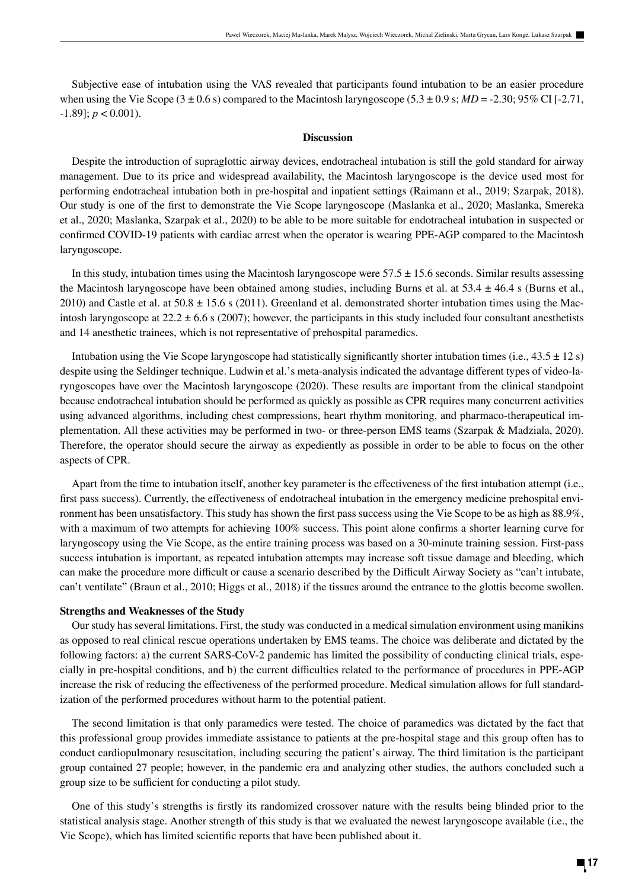Subjective ease of intubation using the VAS revealed that participants found intubation to be an easier procedure when using the Vie Scope (3  $\pm$  0.6 s) compared to the Macintosh laryngoscope (5.3  $\pm$  0.9 s; *MD* = -2.30; 95% CI [-2.71,  $-1.89$ ];  $p < 0.001$ ).

## **Discussion**

Despite the introduction of supraglottic airway devices, endotracheal intubation is still the gold standard for airway management. Due to its price and widespread availability, the Macintosh laryngoscope is the device used most for performing endotracheal intubation both in pre-hospital and inpatient settings (Raimann et al., 2019; Szarpak, 2018). Our study is one of the first to demonstrate the Vie Scope laryngoscope (Maslanka et al., 2020; Maslanka, Smereka et al., 2020; Maslanka, Szarpak et al., 2020) to be able to be more suitable for endotracheal intubation in suspected or confirmed COVID-19 patients with cardiac arrest when the operator is wearing PPE-AGP compared to the Macintosh laryngoscope.

In this study, intubation times using the Macintosh laryngoscope were  $57.5 \pm 15.6$  seconds. Similar results assessing the Macintosh laryngoscope have been obtained among studies, including Burns et al. at  $53.4 \pm 46.4$  s (Burns et al., 2010) and Castle et al. at  $50.8 \pm 15.6$  s (2011). Greenland et al. demonstrated shorter intubation times using the Macintosh laryngoscope at  $22.2 \pm 6.6$  s (2007); however, the participants in this study included four consultant anesthetists and 14 anesthetic trainees, which is not representative of prehospital paramedics.

Intubation using the Vie Scope laryngoscope had statistically significantly shorter intubation times (i.e.,  $43.5 \pm 12$  s) despite using the Seldinger technique. Ludwin et al.'s meta-analysis indicated the advantage different types of video-laryngoscopes have over the Macintosh laryngoscope (2020). These results are important from the clinical standpoint because endotracheal intubation should be performed as quickly as possible as CPR requires many concurrent activities using advanced algorithms, including chest compressions, heart rhythm monitoring, and pharmaco-therapeutical implementation. All these activities may be performed in two- or three-person EMS teams (Szarpak & Madziala, 2020). Therefore, the operator should secure the airway as expediently as possible in order to be able to focus on the other aspects of CPR.

Apart from the time to intubation itself, another key parameter is the effectiveness of the first intubation attempt (i.e., first pass success). Currently, the effectiveness of endotracheal intubation in the emergency medicine prehospital environment has been unsatisfactory. This study has shown the first pass success using the Vie Scope to be as high as 88.9%, with a maximum of two attempts for achieving 100% success. This point alone confirms a shorter learning curve for laryngoscopy using the Vie Scope, as the entire training process was based on a 30-minute training session. First-pass success intubation is important, as repeated intubation attempts may increase soft tissue damage and bleeding, which can make the procedure more difficult or cause a scenario described by the Difficult Airway Society as "can't intubate, can't ventilate" (Braun et al., 2010; Higgs et al., 2018) if the tissues around the entrance to the glottis become swollen.

## **Strengths and Weaknesses of the Study**

Our study has several limitations. First, the study was conducted in a medical simulation environment using manikins as opposed to real clinical rescue operations undertaken by EMS teams. The choice was deliberate and dictated by the following factors: a) the current SARS-CoV-2 pandemic has limited the possibility of conducting clinical trials, especially in pre-hospital conditions, and b) the current difficulties related to the performance of procedures in PPE-AGP increase the risk of reducing the effectiveness of the performed procedure. Medical simulation allows for full standardization of the performed procedures without harm to the potential patient.

The second limitation is that only paramedics were tested. The choice of paramedics was dictated by the fact that this professional group provides immediate assistance to patients at the pre-hospital stage and this group often has to conduct cardiopulmonary resuscitation, including securing the patient's airway. The third limitation is the participant group contained 27 people; however, in the pandemic era and analyzing other studies, the authors concluded such a group size to be sufficient for conducting a pilot study.

One of this study's strengths is firstly its randomized crossover nature with the results being blinded prior to the statistical analysis stage. Another strength of this study is that we evaluated the newest laryngoscope available (i.e., the Vie Scope), which has limited scientific reports that have been published about it.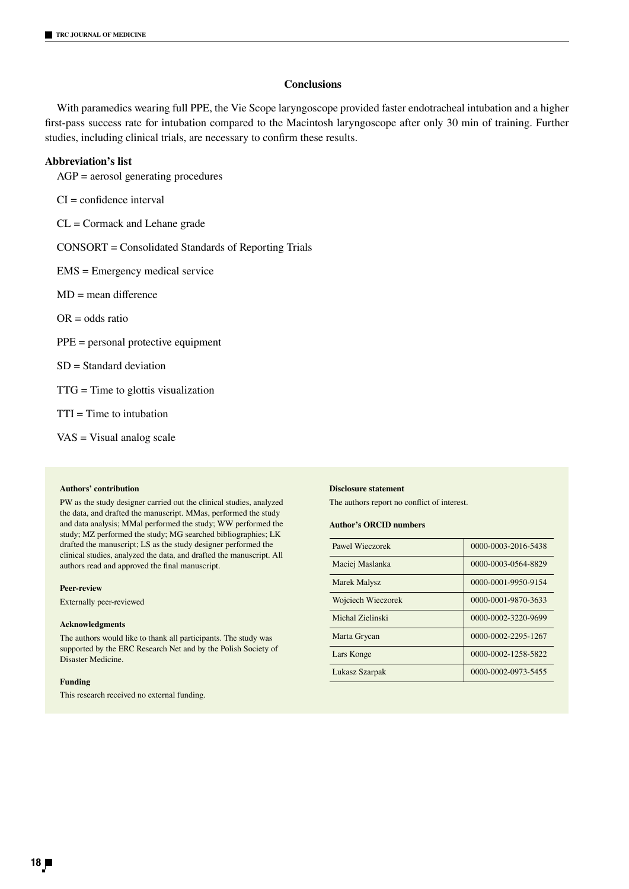## **Conclusions**

With paramedics wearing full PPE, the Vie Scope laryngoscope provided faster endotracheal intubation and a higher first-pass success rate for intubation compared to the Macintosh laryngoscope after only 30 min of training. Further studies, including clinical trials, are necessary to confirm these results.

## **Abbreviation's list**

AGP = aerosol generating procedures

CI = confidence interval

CL = Cormack and Lehane grade

CONSORT = Consolidated Standards of Reporting Trials

EMS = Emergency medical service

MD = mean difference

 $OR = odds ratio$ 

PPE = personal protective equipment

SD = Standard deviation

TTG = Time to glottis visualization

 $TTI = Time to intubation$ 

VAS = Visual analog scale

#### **Authors' contribution**

PW as the study designer carried out the clinical studies, analyzed the data, and drafted the manuscript. MMas, performed the study and data analysis; MMal performed the study; WW performed the study; MZ performed the study; MG searched bibliographies; LK drafted the manuscript; LS as the study designer performed the clinical studies, analyzed the data, and drafted the manuscript. All authors read and approved the final manuscript.

#### **Peer-review**

Externally peer-reviewed

#### **Acknowledgments**

The authors would like to thank all participants. The study was supported by the ERC Research Net and by the Polish Society of Disaster Medicine.

#### **Funding**

This research received no external funding.

#### **Disclosure statement**

The authors report no conflict of interest.

#### **Author's ORCID numbers**

| Pawel Wieczorek     | 0000-0003-2016-5438 |  |  |
|---------------------|---------------------|--|--|
| Maciej Maslanka     | 0000-0003-0564-8829 |  |  |
| <b>Marek Malysz</b> | 0000-0001-9950-9154 |  |  |
| Wojciech Wieczorek  | 0000-0001-9870-3633 |  |  |
| Michal Zielinski    | 0000-0002-3220-9699 |  |  |
| Marta Grycan        | 0000-0002-2295-1267 |  |  |
| Lars Konge          | 0000-0002-1258-5822 |  |  |
| Lukasz Szarpak      | 0000-0002-0973-5455 |  |  |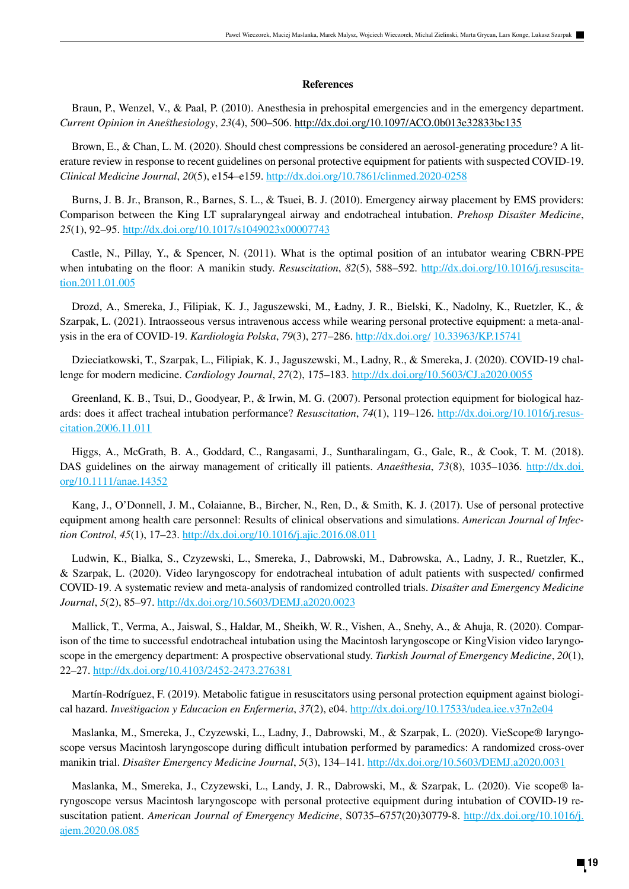## **References**

Braun, P., Wenzel, V., & Paal, P. (2010). Anesthesia in prehospital emergencies and in the emergency department. *Current Opinion in Anesthesiology*, *23*(4), 500–506. http://dx.doi.org/10.1097/ACO.0b013e32833bc135

Brown, E., & Chan, L. M. (2020). Should chest compressions be considered an aerosol-generating procedure? A literature review in response to recent guidelines on personal protective equipment for patients with suspected COVID-19. *Clinical Medicine Journal*, *20*(5), e154–e159. http://dx.doi.org/10.7861/clinmed.2020-0258

Burns, J. B. Jr., Branson, R., Barnes, S. L., & Tsuei, B. J. (2010). Emergency airway placement by EMS providers: Comparison between the King LT supralaryngeal airway and endotracheal intubation. *Prehosp Disaster Medicine*, *25*(1), 92–95. http://dx.doi.org/10.1017/s1049023x00007743

Castle, N., Pillay, Y., & Spencer, N. (2011). What is the optimal position of an intubator wearing CBRN-PPE when intubating on the floor: A manikin study. *Resuscitation*, 82(5), 588–592. http://dx.doi.org/10.1016/j.resuscitation.2011.01.005

Drozd, A., Smereka, J., Filipiak, K. J., Jaguszewski, M., Ładny, J. R., Bielski, K., Nadolny, K., Ruetzler, K., & Szarpak, L. (2021). Intraosseous versus intravenous access while wearing personal protective equipment: a meta-analysis in the era of COVID-19. *Kardiologia Polska*, *79*(3), 277–286. http://dx.doi.org/ 10.33963/KP.15741

Dzieciatkowski, T., Szarpak, L., Filipiak, K. J., Jaguszewski, M., Ladny, R., & Smereka, J. (2020). COVID-19 challenge for modern medicine. *Cardiology Journal*, 27(2), 175-183. http://dx.doi.org/10.5603/CJ.a2020.0055

Greenland, K. B., Tsui, D., Goodyear, P., & Irwin, M. G. (2007). Personal protection equipment for biological hazards: does it affect tracheal intubation performance? *Resuscitation*, *74*(1), 119–126. http://dx.doi.org/10.1016/j.resuscitation.2006.11.011

Higgs, A., McGrath, B. A., Goddard, C., Rangasami, J., Suntharalingam, G., Gale, R., & Cook, T. M. (2018). DAS guidelines on the airway management of critically ill patients. *Anaesthesia*, 73(8), 1035–1036. http://dx.doi. org/10.1111/anae.14352

Kang, J., O'Donnell, J. M., Colaianne, B., Bircher, N., Ren, D., & Smith, K. J. (2017). Use of personal protective equipment among health care personnel: Results of clinical observations and simulations. *American Journal of Infection Control*, *45*(1), 17–23. http://dx.doi.org/10.1016/j.ajic.2016.08.011

Ludwin, K., Bialka, S., Czyzewski, L., Smereka, J., Dabrowski, M., Dabrowska, A., Ladny, J. R., Ruetzler, K., & Szarpak, L. (2020). Video laryngoscopy for endotracheal intubation of adult patients with suspected/ confirmed COVID-19. A systematic review and meta-analysis of randomized controlled trials. *Disaster and Emergency Medicine Journal*, *5*(2), 85–97. http://dx.doi.org/10.5603/DEMJ.a2020.0023

Mallick, T., Verma, A., Jaiswal, S., Haldar, M., Sheikh, W. R., Vishen, A., Snehy, A., & Ahuja, R. (2020). Comparison of the time to successful endotracheal intubation using the Macintosh laryngoscope or KingVision video laryngoscope in the emergency department: A prospective observational study. *Turkish Journal of Emergency Medicine*, *20*(1), 22–27. http://dx.doi.org/10.4103/2452-2473.276381

Martín-Rodríguez, F. (2019). Metabolic fatigue in resuscitators using personal protection equipment against biological hazard. *Investigacion y Educacion en Enfermeria*, *37*(2), e04. http://dx.doi.org/10.17533/udea.iee.v37n2e04

Maslanka, M., Smereka, J., Czyzewski, L., Ladny, J., Dabrowski, M., & Szarpak, L. (2020). VieScope® laryngoscope versus Macintosh laryngoscope during difficult intubation performed by paramedics: A randomized cross-over manikin trial. *Disaster Emergency Medicine Journal*, *5*(3), 134–141. http://dx.doi.org/10.5603/DEMJ.a2020.0031

Maslanka, M., Smereka, J., Czyzewski, L., Landy, J. R., Dabrowski, M., & Szarpak, L. (2020). Vie scope® laryngoscope versus Macintosh laryngoscope with personal protective equipment during intubation of COVID-19 resuscitation patient. *American Journal of Emergency Medicine*, S0735–6757(20)30779-8. http://dx.doi.org/10.1016/j. ajem.2020.08.085